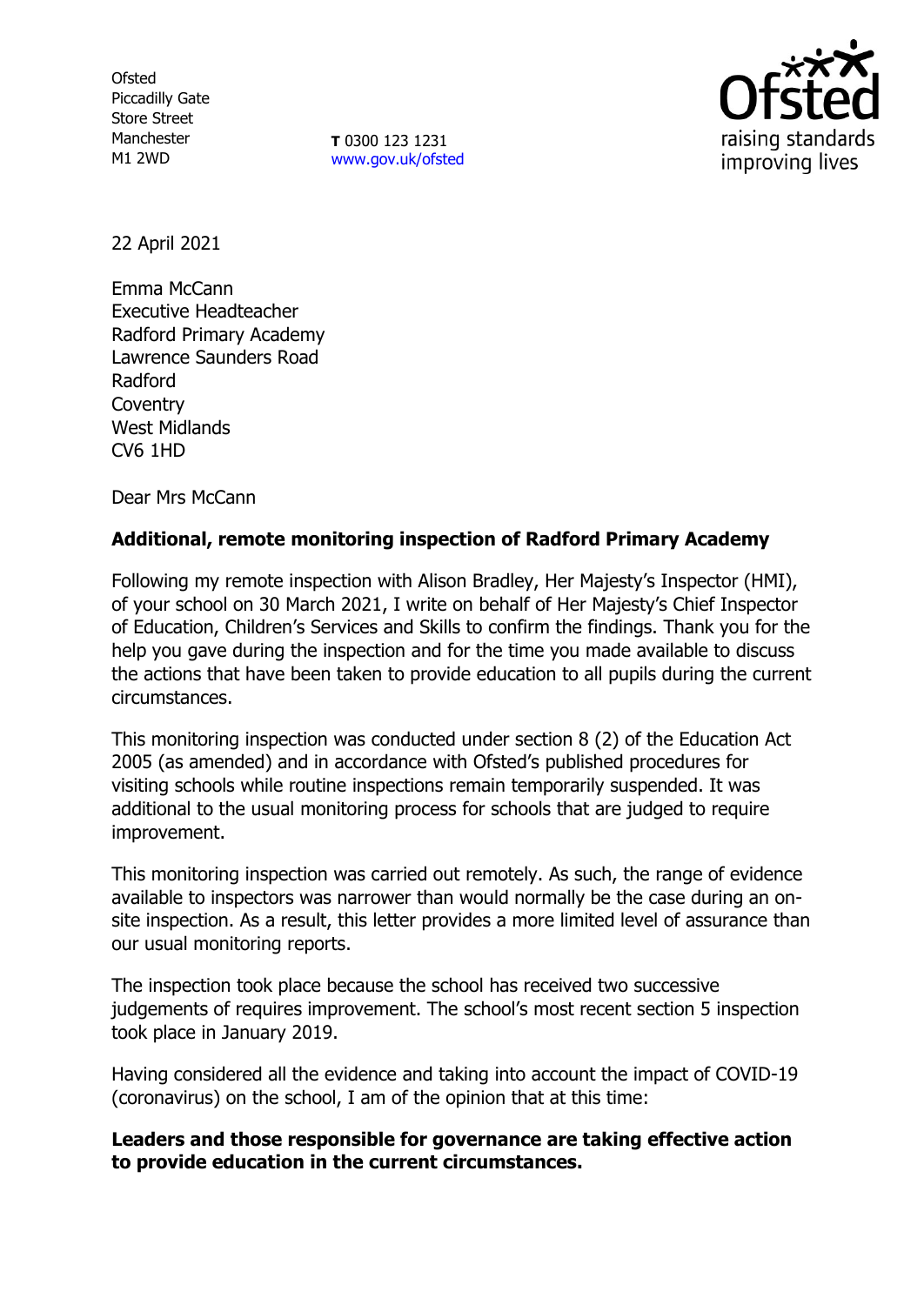**Ofsted** Piccadilly Gate Store Street Manchester M1 2WD

**T** 0300 123 1231 [www.gov.uk/ofsted](http://www.gov.uk/ofsted)



22 April 2021

Emma McCann Executive Headteacher Radford Primary Academy Lawrence Saunders Road Radford **Coventry** West Midlands CV6 1HD

Dear Mrs McCann

## **Additional, remote monitoring inspection of Radford Primary Academy**

Following my remote inspection with Alison Bradley, Her Majesty's Inspector (HMI), of your school on 30 March 2021, I write on behalf of Her Majesty's Chief Inspector of Education, Children's Services and Skills to confirm the findings. Thank you for the help you gave during the inspection and for the time you made available to discuss the actions that have been taken to provide education to all pupils during the current circumstances.

This monitoring inspection was conducted under section 8 (2) of the Education Act 2005 (as amended) and in accordance with Ofsted's published procedures for visiting schools while routine inspections remain temporarily suspended. It was additional to the usual monitoring process for schools that are judged to require improvement.

This monitoring inspection was carried out remotely. As such, the range of evidence available to inspectors was narrower than would normally be the case during an onsite inspection. As a result, this letter provides a more limited level of assurance than our usual monitoring reports.

The inspection took place because the school has received two successive judgements of requires improvement. The school's most recent section 5 inspection took place in January 2019.

Having considered all the evidence and taking into account the impact of COVID-19 (coronavirus) on the school, I am of the opinion that at this time:

**Leaders and those responsible for governance are taking effective action to provide education in the current circumstances.**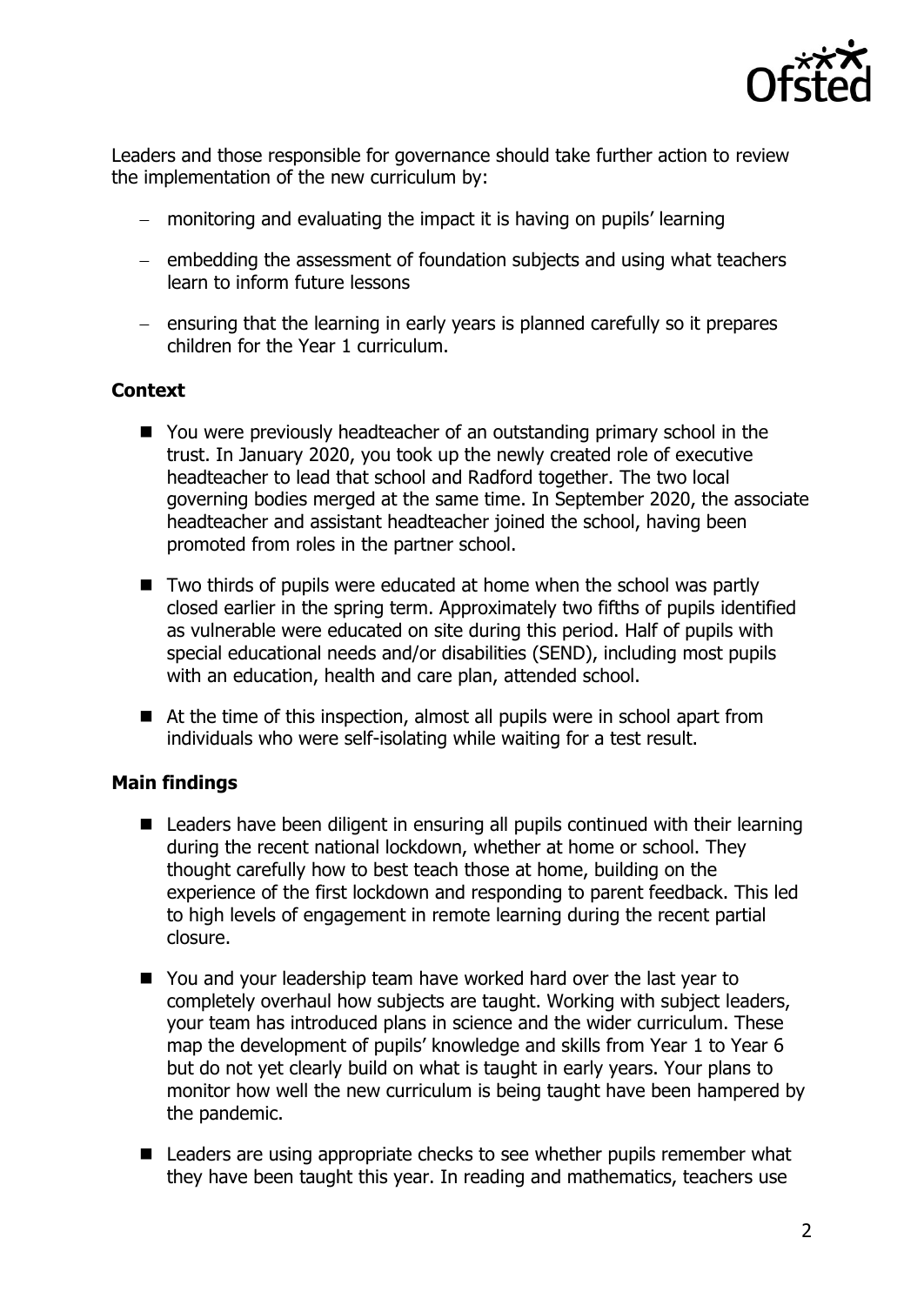

Leaders and those responsible for governance should take further action to review the implementation of the new curriculum by:

- monitoring and evaluating the impact it is having on pupils' learning
- $-$  embedding the assessment of foundation subjects and using what teachers learn to inform future lessons
- $-$  ensuring that the learning in early years is planned carefully so it prepares children for the Year 1 curriculum.

## **Context**

- You were previously headteacher of an outstanding primary school in the trust. In January 2020, you took up the newly created role of executive headteacher to lead that school and Radford together. The two local governing bodies merged at the same time. In September 2020, the associate headteacher and assistant headteacher joined the school, having been promoted from roles in the partner school.
- Two thirds of pupils were educated at home when the school was partly closed earlier in the spring term. Approximately two fifths of pupils identified as vulnerable were educated on site during this period. Half of pupils with special educational needs and/or disabilities (SEND), including most pupils with an education, health and care plan, attended school.
- At the time of this inspection, almost all pupils were in school apart from individuals who were self-isolating while waiting for a test result.

## **Main findings**

- Leaders have been diligent in ensuring all pupils continued with their learning during the recent national lockdown, whether at home or school. They thought carefully how to best teach those at home, building on the experience of the first lockdown and responding to parent feedback. This led to high levels of engagement in remote learning during the recent partial closure.
- You and your leadership team have worked hard over the last year to completely overhaul how subjects are taught. Working with subject leaders, your team has introduced plans in science and the wider curriculum. These map the development of pupils' knowledge and skills from Year 1 to Year 6 but do not yet clearly build on what is taught in early years. Your plans to monitor how well the new curriculum is being taught have been hampered by the pandemic.
- Leaders are using appropriate checks to see whether pupils remember what they have been taught this year. In reading and mathematics, teachers use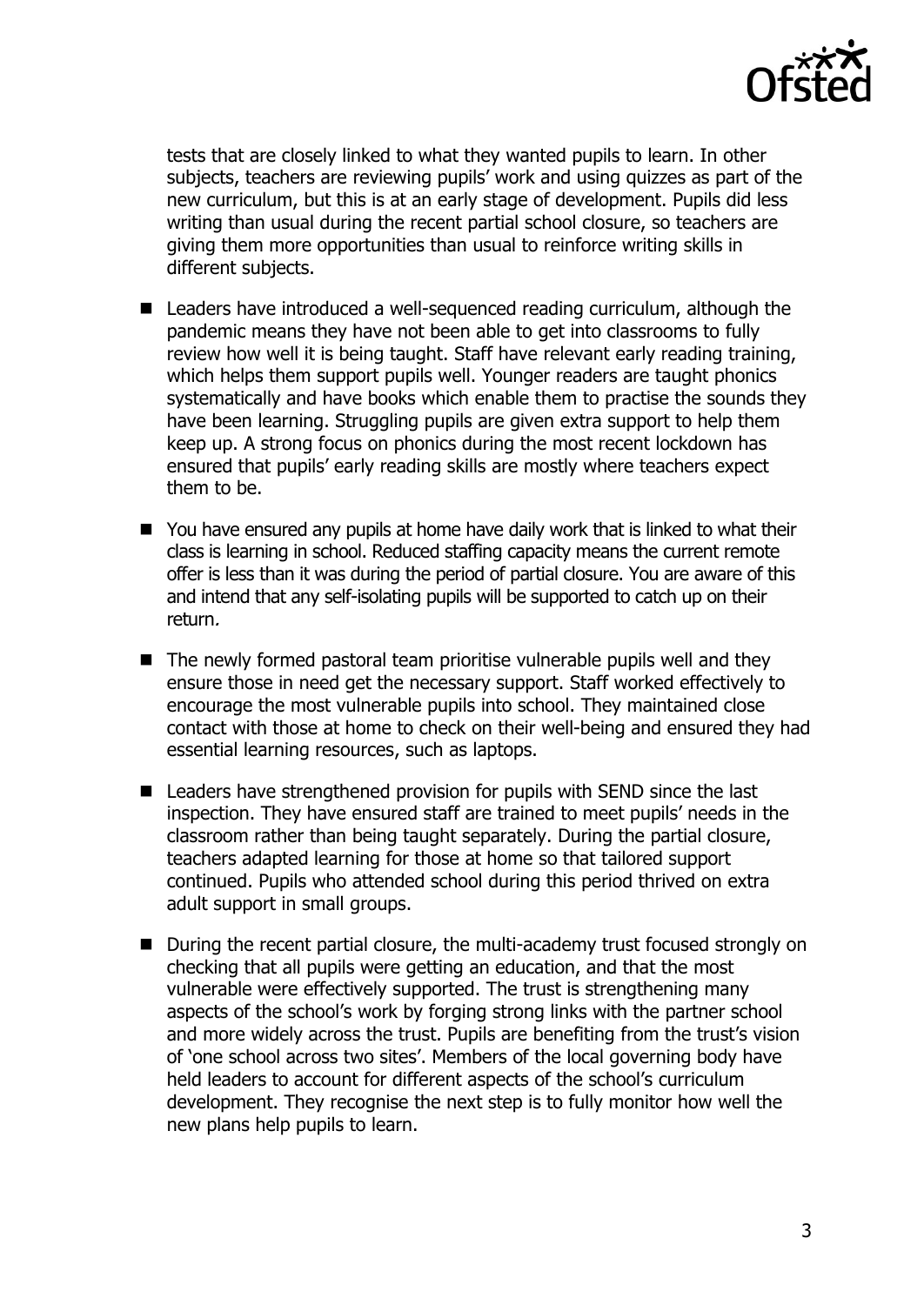

tests that are closely linked to what they wanted pupils to learn. In other subjects, teachers are reviewing pupils' work and using quizzes as part of the new curriculum, but this is at an early stage of development. Pupils did less writing than usual during the recent partial school closure, so teachers are giving them more opportunities than usual to reinforce writing skills in different subjects.

- Leaders have introduced a well-sequenced reading curriculum, although the pandemic means they have not been able to get into classrooms to fully review how well it is being taught. Staff have relevant early reading training, which helps them support pupils well. Younger readers are taught phonics systematically and have books which enable them to practise the sounds they have been learning. Struggling pupils are given extra support to help them keep up. A strong focus on phonics during the most recent lockdown has ensured that pupils' early reading skills are mostly where teachers expect them to be.
- You have ensured any pupils at home have daily work that is linked to what their class is learning in school. Reduced staffing capacity means the current remote offer is less than it was during the period of partial closure. You are aware of this and intend that any self-isolating pupils will be supported to catch up on their return.
- $\blacksquare$  The newly formed pastoral team prioritise vulnerable pupils well and they ensure those in need get the necessary support. Staff worked effectively to encourage the most vulnerable pupils into school. They maintained close contact with those at home to check on their well-being and ensured they had essential learning resources, such as laptops.
- Leaders have strengthened provision for pupils with SEND since the last inspection. They have ensured staff are trained to meet pupils' needs in the classroom rather than being taught separately. During the partial closure, teachers adapted learning for those at home so that tailored support continued. Pupils who attended school during this period thrived on extra adult support in small groups.
- During the recent partial closure, the multi-academy trust focused strongly on checking that all pupils were getting an education, and that the most vulnerable were effectively supported. The trust is strengthening many aspects of the school's work by forging strong links with the partner school and more widely across the trust. Pupils are benefiting from the trust's vision of 'one school across two sites'. Members of the local governing body have held leaders to account for different aspects of the school's curriculum development. They recognise the next step is to fully monitor how well the new plans help pupils to learn.